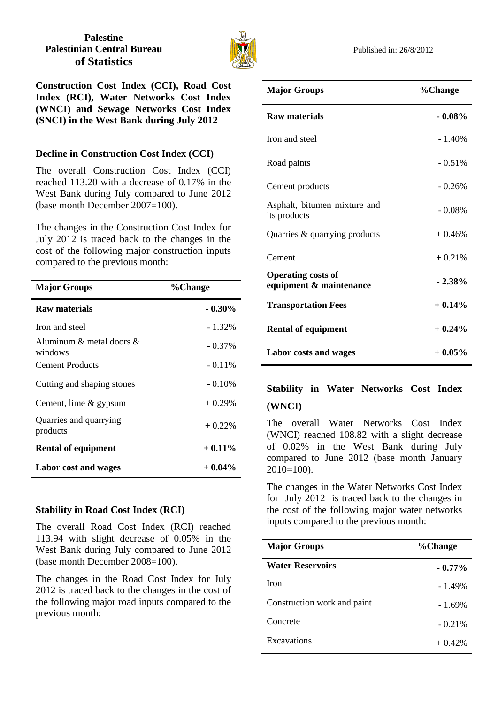

**Construction Cost Index (CCI), Road Cost Index (RCI), Water Networks Cost Index (WNCI) and Sewage Networks Cost Index (SNCI) in the West Bank during July 2012**

## **Decline in Construction Cost Index (CCI)**

The overall Construction Cost Index (CCI) reached 113.20 with a decrease of 0.17% in the West Bank during July compared to June 2012 (base month December 2007=100).

The changes in the Construction Cost Index for July 2012 is traced back to the changes in the cost of the following major construction inputs compared to the previous month:

| <b>Major Groups</b>                       | %Change   |
|-------------------------------------------|-----------|
| Raw materials                             | $-0.30\%$ |
| Iron and steel                            | $-1.32\%$ |
| Aluminum $\&$ metal doors $\&$<br>windows | $-0.37\%$ |
| <b>Cement Products</b>                    | $-0.11\%$ |
| Cutting and shaping stones                | $-0.10\%$ |
| Cement, lime & gypsum                     | $+0.29%$  |
| Quarries and quarrying<br>products        | $+0.22\%$ |
| <b>Rental of equipment</b>                | $+0.11\%$ |
| Labor cost and wages                      | $+0.04\%$ |

## **Stability in Road Cost Index (RCI)**

The overall Road Cost Index (RCI) reached 113.94 with slight decrease of 0.05% in the West Bank during July compared to June 2012 (base month December 2008=100).

The changes in the Road Cost Index for July 2012 is traced back to the changes in the cost of the following major road inputs compared to the previous month:

| <b>Major Groups</b>                                  | %Change   |
|------------------------------------------------------|-----------|
| <b>Raw materials</b>                                 | $-0.08%$  |
| Iron and steel                                       | $-1.40\%$ |
| Road paints                                          | $-0.51%$  |
| Cement products                                      | $-0.26%$  |
| Asphalt, bitumen mixture and<br>its products         | $-0.08%$  |
| Quarries & quarrying products                        | $+0.46%$  |
| Cement                                               | $+0.21%$  |
| <b>Operating costs of</b><br>equipment & maintenance | $-2.38%$  |
| <b>Transportation Fees</b>                           | $+0.14%$  |
| <b>Rental of equipment</b>                           | $+0.24\%$ |
| Labor costs and wages                                | $+0.05\%$ |

# **Stability in Water Networks Cost Index (WNCI)**

The overall Water Networks Cost Index (WNCI) reached 108.82 with a slight decrease of 0.02% in the West Bank during July compared to June 2012 (base month January 2010=100).

The changes in the Water Networks Cost Index for July 2012 is traced back to the changes in the cost of the following major water networks inputs compared to the previous month:

| <b>Major Groups</b>         | %Change   |
|-----------------------------|-----------|
| <b>Water Reservoirs</b>     | $-0.77\%$ |
| <b>Iron</b>                 | $-1.49\%$ |
| Construction work and paint | $-1.69\%$ |
| Concrete                    | $-0.21\%$ |
| Excavations                 | $+0.42%$  |